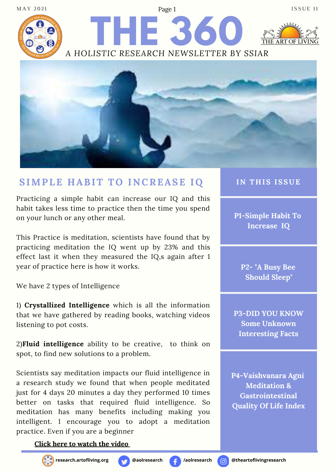



Page 1

## **SIMPLE H ABIT TO INCREASE IQ**

Practicing a simple habit can increase our IQ and this habit takes less time to practice then the time you spend on your lunch or any other meal.

This Practice is meditation, scientists have found that by practicing meditation the IQ went up by 23% and this effect last it when they measured the IQ,s again after 1 year of practice here is how it works.

We have 2 types of Intelligence

1) **Crystallized Intelligence** which is all the information that we have gathered by reading books, watching videos listening to pot costs.

2)**Fluid intelligence** ability to be creative, to think on spot, to find new solutions to a problem.

Scientists say meditation impacts our fluid intelligence in a research study we found that when people meditated just for 4 days 20 minutes a day they performed 10 times better on tasks that required fluid intelligence. So meditation has many benefits including making you intelligent. I encourage you to adopt a meditation practice. Even if you are a beginner

#### **Click here to [watch](https://www.youtube.com/watch?v=EB8KuUVUvD0) the video**







**IN T H IS ISSUE**

**P1-Simple Habit To Increase IQ**

**P2- "A Busy Bee Should Sleep"**

**P3-DID YOU KNOW Some Unknown Interesting Facts**

**P4-Vaishvanara Agni Meditation & Gastrointestinal Quality Of Life Index**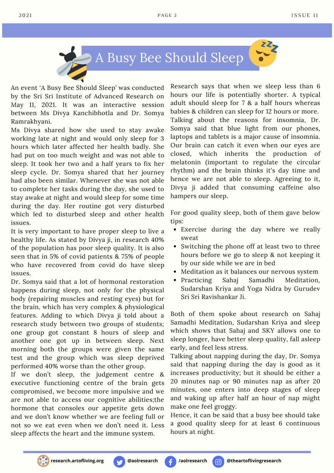



An event 'A Busy Bee Should Sleep' was conducted by the Sri Sri Institute of Advanced Research on May 11, 2021. It was an interactive session between Ms Divya Kanchibhotla and Dr. Somya Ramrakhyani.

Ms Divya shared how she used to stay awake working late at night and would only sleep for 3 hours which later affected her health badly. She had put on too much weight and was not able to sleep. It took her two and a half years to fix her sleep cycle. Dr. Somya shared that her journey had also been similar. Whenever she was not able to complete her tasks during the day, she used to stay awake at night and would sleep for some time during the day. Her routine got very disturbed which led to disturbed sleep and other health issues.

It is very important to have proper sleep to live a healthy life. As stated by Divya ji, in research 40% of the population has poor sleep quality. It is also seen that in 5% of covid patients & 75% of people who have recovered from covid do have sleep issues.

Dr. Somya said that a lot of hormonal restoration happens during sleep, not only for the physical body (repairing muscles and resting eyes) but for the brain, which has very complex & physiological features. Adding to which Divya ji told about a research study between two groups of students; one group got constant 8 hours of sleep and another one got up in between sleep. Next morning both the groups were given the same test and the group which was sleep deprived performed 40% worse than the other group.

If we don't sleep, the judgement centre & executive functioning centre of the brain gets compromised, we become more impulsive and we are not able to access our cognitive abilities;the hormone that consoles our appetite gets down and we don't know whether we are feeling full or not so we eat even when we don't need it. Less sleep affects the heart and the immune system.

Research says that when we sleep less than 6 hours our life is potentially shorter. A typical adult should sleep for 7 & a half hours whereas babies & children can sleep for 12 hours or more. Talking about the reasons for insomnia, Dr. Somya said that blue light from our phones, laptops and tablets is a major cause of insomnia. Our brain can catch it even when our eyes are closed, which inherits the production of melatonin (important to regulate the circular rhythm) and the brain thinks it's day time and hence we are not able to sleep. Agreeing to it, Divya ji added that consuming caffeine also hampers our sleep.

For good quality sleep, both of them gave below tips:

- Exercise during the day where we really sweat
- Switching the phone off at least two to three hours before we go to sleep & not keeping it by our side while we are in bed
- Meditation as it balances our nervous system
- Practicing Sahai Samadhi Meditation, Sudarshan Kriya and Yoga Nidra by Gurudev Sri Sri Ravishankar Ji.

Both of them spoke about research on Sahaj Samadhi Meditation, Sudarshan Kriya and sleep which shows that Sahaj and SKY allows one to sleep longer, have better sleep quality, fall asleep early, and feel less stress.

Talking about napping during the day, Dr. Somya said that napping during the day is good as it increases productivity; but it should be either a 20 minutes nap or 90 minutes nap as after 20 minutes, one enters into deep stages of sleep and waking up after half an hour of nap might make one feel groggy.

Hence, it can be said that a busy bee should take a good quality sleep for at least 6 continuous hours at night.

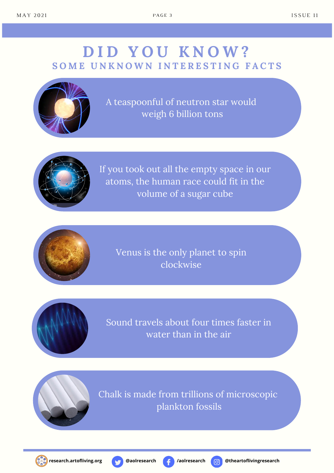# **D I D Y O U K N O W ?** SOME UNKNOWN INTERESTING FACTS



A teaspoonful of neutron star would weigh 6 billion tons



If you took out all the empty space in our atoms, the human race could fit in the volume of a sugar cube



Venus is the only planet to spin clockwise



Sound travels about four times faster in water than in the air



Chalk is made from trillions of microscopic plankton fossils